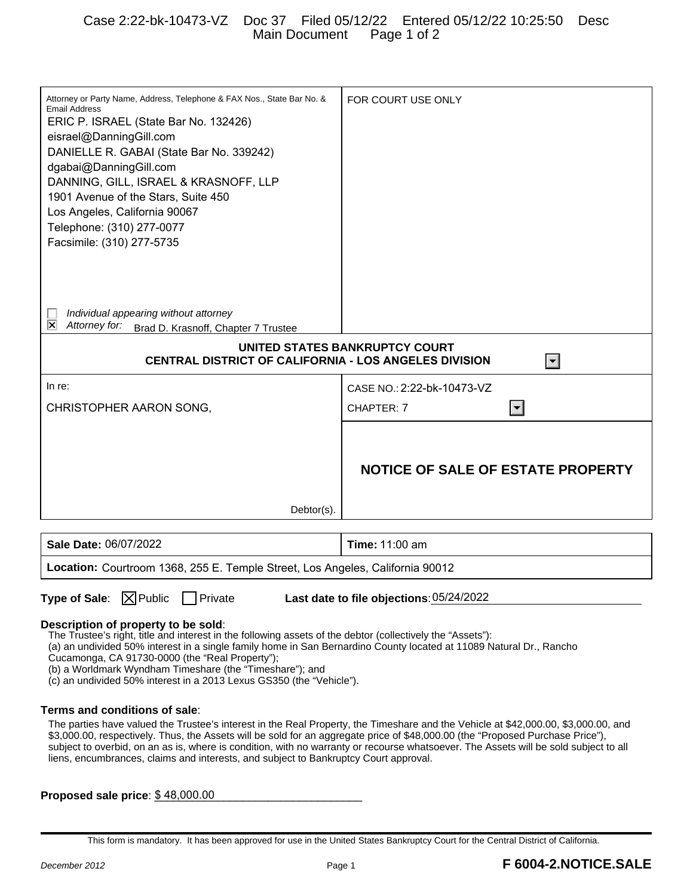## Case 2:22-bk-10473-VZ Doc 37 Filed 05/12/22 Entered 05/12/22 10:25:50 Desc Main Document Page 1 of 2

| Attorney or Party Name, Address, Telephone & FAX Nos., State Bar No. &<br><b>Email Address</b><br>ERIC P. ISRAEL (State Bar No. 132426)<br>eisrael@DanningGill.com<br>DANIELLE R. GABAI (State Bar No. 339242)<br>dgabai@DanningGill.com<br>DANNING, GILL, ISRAEL & KRASNOFF, LLP<br>1901 Avenue of the Stars, Suite 450<br>Los Angeles, California 90067<br>Telephone: (310) 277-0077<br>Facsimile: (310) 277-5735                                                                                  | FOR COURT USE ONLY                       |
|------------------------------------------------------------------------------------------------------------------------------------------------------------------------------------------------------------------------------------------------------------------------------------------------------------------------------------------------------------------------------------------------------------------------------------------------------------------------------------------------------|------------------------------------------|
| Individual appearing without attorney<br>⊠<br>Attorney for:<br>Brad D. Krasnoff, Chapter 7 Trustee                                                                                                                                                                                                                                                                                                                                                                                                   |                                          |
|                                                                                                                                                                                                                                                                                                                                                                                                                                                                                                      |                                          |
| UNITED STATES BANKRUPTCY COURT<br>CENTRAL DISTRICT OF CALIFORNIA - LOS ANGELES DIVISION<br>$\blacktriangledown$                                                                                                                                                                                                                                                                                                                                                                                      |                                          |
|                                                                                                                                                                                                                                                                                                                                                                                                                                                                                                      |                                          |
| In re:                                                                                                                                                                                                                                                                                                                                                                                                                                                                                               | CASE NO.: 2:22-bk-10473-VZ               |
| CHRISTOPHER AARON SONG,                                                                                                                                                                                                                                                                                                                                                                                                                                                                              | CHAPTER: 7<br>$\blacktriangledown$       |
|                                                                                                                                                                                                                                                                                                                                                                                                                                                                                                      |                                          |
|                                                                                                                                                                                                                                                                                                                                                                                                                                                                                                      |                                          |
|                                                                                                                                                                                                                                                                                                                                                                                                                                                                                                      | <b>NOTICE OF SALE OF ESTATE PROPERTY</b> |
|                                                                                                                                                                                                                                                                                                                                                                                                                                                                                                      |                                          |
| Debtor(s).                                                                                                                                                                                                                                                                                                                                                                                                                                                                                           |                                          |
|                                                                                                                                                                                                                                                                                                                                                                                                                                                                                                      |                                          |
| Sale Date: 06/07/2022                                                                                                                                                                                                                                                                                                                                                                                                                                                                                | <b>Time: 11:00 am</b>                    |
| Location: Courtroom 1368, 255 E. Temple Street, Los Angeles, California 90012                                                                                                                                                                                                                                                                                                                                                                                                                        |                                          |
|                                                                                                                                                                                                                                                                                                                                                                                                                                                                                                      |                                          |
| <b>Type of Sale:</b> $\boxed{\times}$ Public<br>  Private<br>Last date to file objections: 05/24/2022                                                                                                                                                                                                                                                                                                                                                                                                |                                          |
| Description of property to be sold:<br>The Trustee's right, title and interest in the following assets of the debtor (collectively the "Assets"):<br>(a) an undivided 50% interest in a single family home in San Bernardino County located at 11089 Natural Dr., Rancho<br>Cucamonga, CA 91730-0000 (the "Real Property");<br>(b) a Worldmark Wyndham Timeshare (the "Timeshare"); and<br>(c) an undivided 50% interest in a 2013 Lexus GS350 (the "Vehicle").                                      |                                          |
| Terms and conditions of sale:                                                                                                                                                                                                                                                                                                                                                                                                                                                                        |                                          |
| The parties have valued the Trustee's interest in the Real Property, the Timeshare and the Vehicle at \$42,000.00, \$3,000.00, and<br>\$3,000.00, respectively. Thus, the Assets will be sold for an aggregate price of \$48,000.00 (the "Proposed Purchase Price"),<br>subject to overbid, on an as is, where is condition, with no warranty or recourse whatsoever. The Assets will be sold subject to all<br>liens, encumbrances, claims and interests, and subject to Bankruptcy Court approval. |                                          |
| Proposed sale price: \$48,000.00                                                                                                                                                                                                                                                                                                                                                                                                                                                                     |                                          |

This form is mandatory. It has been approved for use in the United States Bankruptcy Court for the Central District of California.